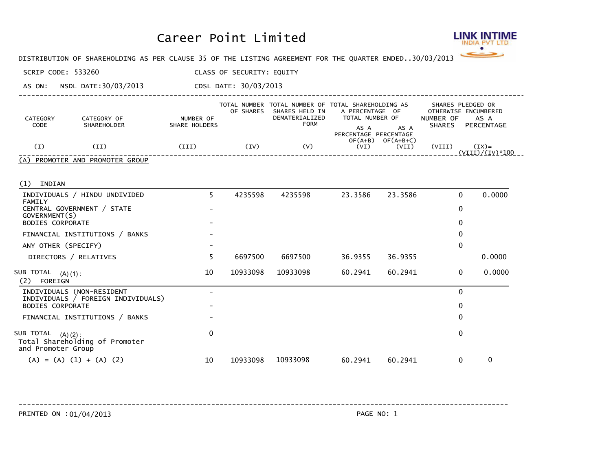

DISTRIBUTION OF SHAREHOLDING AS PER CLAUSE 35 OF THE LISTING AGREEMENT FOR THE QUARTER ENDED... 30/03/2013

SCRIP CODE: 533260 CLASS OF SECURITY: EQUITY

AS ON: NSDL DATE:30/03/2013 CDSL DATE: 30/03/2013

| CATEGORY<br>CODE | CATEGORY OF<br>SHAREHOLDER      | NUMBER OF<br>SHARE HOLDERS | TOTAL NUMBER<br>OF SHARES | SHARES HELD IN<br>DEMATERIALIZED<br><b>FORM</b> | TOTAL NUMBER OF TOTAL SHAREHOLDING AS<br>A PERCENTAGE OF<br>TOTAL NUMBER OF<br>AS A<br>AS A<br>PERCENTAGE PERCENTAGE | SHARES PLEDGED OR<br>OTHERWISE ENCUMBERED<br>NUMBER OF<br>AS A<br><b>SHARES</b><br>PERCENTAGE |  |
|------------------|---------------------------------|----------------------------|---------------------------|-------------------------------------------------|----------------------------------------------------------------------------------------------------------------------|-----------------------------------------------------------------------------------------------|--|
| Œ)               | (II)                            | (III)                      | (IV)                      | (V)                                             | $OF(A+B)$<br>$OF(A+B+C)$<br>(VI)<br>(VII)                                                                            | (VIII)<br>$(IX)=$<br>$(VIII)/(IV)*100$                                                        |  |
|                  | (A) PROMOTER AND PROMOTER GROUP |                            |                           |                                                 |                                                                                                                      |                                                                                               |  |

----------------------------------------------------------------------------------------------------------------------------

(1) INDIAN

| INDIVIDUALS / HINDU UNDIVIDED<br>FAMILY                                          | 5.           | 4235598  | 4235598  | 23.3586 | 23.3586 | 0           | 0.0000 |
|----------------------------------------------------------------------------------|--------------|----------|----------|---------|---------|-------------|--------|
| CENTRAL GOVERNMENT / STATE<br>GOVERNMENT(S)                                      |              |          |          |         |         | $\mathbf 0$ |        |
| <b>BODIES CORPORATE</b>                                                          |              |          |          |         |         | 0           |        |
| FINANCIAL INSTITUTIONS / BANKS                                                   |              |          |          |         |         | 0           |        |
| ANY OTHER (SPECIFY)                                                              |              |          |          |         |         | 0           |        |
| DIRECTORS / RELATIVES                                                            | 5.           | 6697500  | 6697500  | 36.9355 | 36.9355 |             | 0.0000 |
| SUB TOTAL $(A) (1)$ :<br>(2)<br>FOREIGN                                          | 10           | 10933098 | 10933098 | 60.2941 | 60.2941 | 0           | 0.0000 |
| INDIVIDUALS (NON-RESIDENT<br>INDIVIDUALS / FOREIGN INDIVIDUALS)                  |              |          |          |         |         | $\mathbf 0$ |        |
| <b>BODIES CORPORATE</b>                                                          |              |          |          |         |         | 0           |        |
| FINANCIAL INSTITUTIONS / BANKS                                                   |              |          |          |         |         | 0           |        |
| SUB TOTAL<br>$(A) (2)$ :<br>Total Shareholding of Promoter<br>and Promoter Group | $\mathbf{0}$ |          |          |         |         | 0           |        |
| $(A) = (A) (1) + (A) (2)$                                                        | 10           | 10933098 | 10933098 | 60.2941 | 60.2941 | 0           | 0      |

PRINTED ON : 01/04/2013 2010 2021 2022 20: 1 ------------------------------------------------------------------------------------------------------------------------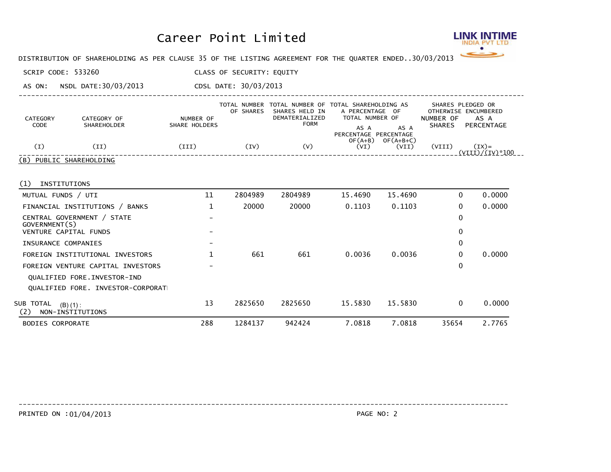

DISTRIBUTION OF SHAREHOLDING AS PER CLAUSE 35 OF THE LISTING AGREEMENT FOR THE QUARTER ENDED... 30/03/2013

SCRIP CODE: 533260 CLASS OF SECURITY: EQUITY

AS ON: NSDL DATE:30/03/2013 CDSL DATE: 30/03/2013

| CATEGORY<br>CODE   | CATEGORY OF<br><b>SHAREHOLDER</b> | NUMBER OF<br>SHARE HOLDERS | OF SHARES | TOTAL NUMBER TOTAL NUMBER OF TOTAL SHAREHOLDING AS<br>SHARES HELD IN<br>DEMATERIALIZED<br><b>FORM</b> | A PERCENTAGE OF<br>TOTAL NUMBER OF<br>AS A | AS A                 | NUMBER OF<br><b>SHARES</b> | SHARES PLEDGED OR<br>OTHERWISE ENCUMBERED<br>AS A<br>PERCENTAGE |  |
|--------------------|-----------------------------------|----------------------------|-----------|-------------------------------------------------------------------------------------------------------|--------------------------------------------|----------------------|----------------------------|-----------------------------------------------------------------|--|
| Œ)<br>$(B)$ PUBLIC | (II)<br>SHAREHOLDING              | (III)                      | (IV)      | (V)                                                                                                   | PERCENTAGE PERCENTAGE<br>$OF(A+B)$<br>(VI  | $OF(A+B+C)$<br>(VII) | (VIII)                     | $(TX) =$<br>(VIII)/(IV)*100                                     |  |

----------------------------------------------------------------------------------------------------------------------------

(1) INSTITUTIONS

| <b>BODIES CORPORATE</b>                             | 288                      | 1284137 | 942424  | 7.0818  | 7.0818  | 35654    | 2.7765 |
|-----------------------------------------------------|--------------------------|---------|---------|---------|---------|----------|--------|
| SUB TOTAL<br>$(B) (1)$ :<br>NON-INSTITUTIONS<br>(2) | 13                       | 2825650 | 2825650 | 15.5830 | 15.5830 | $\Omega$ | 0.0000 |
| QUALIFIED FORE. INVESTOR-CORPORAT                   |                          |         |         |         |         |          |        |
| OUALIFIED FORE.INVESTOR-IND                         |                          |         |         |         |         |          |        |
| FOREIGN VENTURE CAPITAL INVESTORS                   |                          |         |         |         |         | 0        |        |
| FOREIGN INSTITUTIONAL INVESTORS                     |                          | 661     | 661     | 0.0036  | 0.0036  | 0        | 0.0000 |
| INSURANCE COMPANIES                                 | $\qquad \qquad$          |         |         |         |         | 0        |        |
| VENTURE CAPITAL FUNDS                               | $\overline{\phantom{0}}$ |         |         |         |         | 0        |        |
| CENTRAL GOVERNMENT / STATE<br>GOVERNMENT(S)         | $\overline{\phantom{0}}$ |         |         |         |         | 0        |        |
| FINANCIAL INSTITUTIONS / BANKS                      |                          | 20000   | 20000   | 0.1103  | 0.1103  | 0        | 0.0000 |
| MUTUAL FUNDS / UTI                                  | 11                       | 2804989 | 2804989 | 15,4690 | 15,4690 | 0        | 0.0000 |

------------------------------------------------------------------------------------------------------------------------

PRINTED ON :01/04/2013 PAGE NO: 2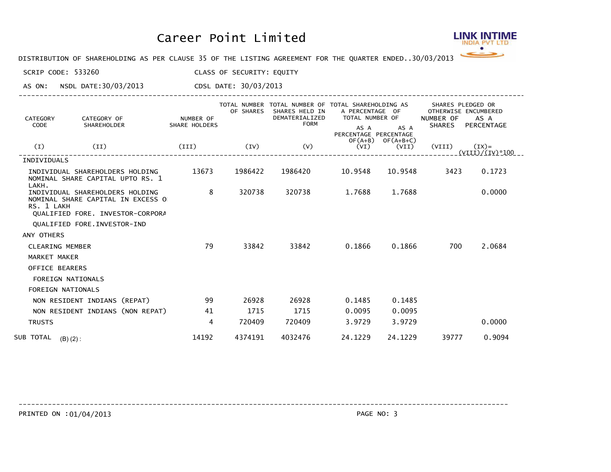

DISTRIBUTION OF SHAREHOLDING AS PER CLAUSE 35 OF THE LISTING AGREEMENT FOR THE QUARTER ENDED... 30/03/2013

SCRIP CODE: 533260 CLASS OF SECURITY: EQUITY

AS ON: NSDL DATE:30/03/2013 CDSL DATE: 30/03/2013

| CATEGORY<br>CODE     | CATEGORY OF<br><b>SHAREHOLDER</b>                                                                        | NUMBER OF<br>SHARE HOLDERS | OF SHARES | TOTAL NUMBER TOTAL NUMBER OF TOTAL SHAREHOLDING AS<br>SHARES HELD IN<br>DEMATERIALIZED<br><b>FORM</b> | A PERCENTAGE OF<br>TOTAL NUMBER OF<br>AS A<br>PERCENTAGE PERCENTAGE | AS A                 | NUMBER OF<br>SHARES | SHARES PLEDGED OR<br>OTHERWISE ENCUMBERED<br>AS A<br>PERCENTAGE |
|----------------------|----------------------------------------------------------------------------------------------------------|----------------------------|-----------|-------------------------------------------------------------------------------------------------------|---------------------------------------------------------------------|----------------------|---------------------|-----------------------------------------------------------------|
| (I)                  | (II)                                                                                                     | (III)                      | (IV)      | (V)                                                                                                   | $OF(A+B)$<br>(VI)                                                   | $OF(A+B+C)$<br>(VII) | (VIII)              | $(TX) =$<br>$(VIII)/(IV)*100$                                   |
| INDIVIDUALS          |                                                                                                          |                            |           |                                                                                                       |                                                                     |                      |                     |                                                                 |
| LAKH.                | INDIVIDUAL SHAREHOLDERS HOLDING<br>NOMINAL SHARE CAPITAL UPTO RS. 1                                      | 13673                      | 1986422   | 1986420                                                                                               | 10.9548                                                             | 10.9548              | 3423                | 0.1723                                                          |
| RS. 1 LAKH           | INDIVIDUAL SHAREHOLDERS HOLDING<br>NOMINAL SHARE CAPITAL IN EXCESS O<br>QUALIFIED FORE. INVESTOR-CORPORA | 8                          | 320738    | 320738                                                                                                | 1.7688                                                              | 1.7688               |                     | 0.0000                                                          |
|                      | QUALIFIED FORE. INVESTOR-IND                                                                             |                            |           |                                                                                                       |                                                                     |                      |                     |                                                                 |
| ANY OTHERS           |                                                                                                          |                            |           |                                                                                                       |                                                                     |                      |                     |                                                                 |
|                      | <b>CLEARING MEMBER</b>                                                                                   | 79                         | 33842     | 33842                                                                                                 | 0.1866                                                              | 0.1866               | 700                 | 2.0684                                                          |
|                      | <b>MARKET MAKER</b>                                                                                      |                            |           |                                                                                                       |                                                                     |                      |                     |                                                                 |
|                      | OFFICE BEARERS                                                                                           |                            |           |                                                                                                       |                                                                     |                      |                     |                                                                 |
|                      | FOREIGN NATIONALS                                                                                        |                            |           |                                                                                                       |                                                                     |                      |                     |                                                                 |
|                      | <b>FOREIGN NATIONALS</b>                                                                                 |                            |           |                                                                                                       |                                                                     |                      |                     |                                                                 |
|                      | NON RESIDENT INDIANS (REPAT)                                                                             | 99                         | 26928     | 26928                                                                                                 | 0.1485                                                              | 0.1485               |                     |                                                                 |
|                      | NON RESIDENT INDIANS (NON REPAT)                                                                         | 41                         | 1715      | 1715                                                                                                  | 0.0095                                                              | 0.0095               |                     |                                                                 |
| <b>TRUSTS</b>        |                                                                                                          | 4                          | 720409    | 720409                                                                                                | 3.9729                                                              | 3.9729               |                     | 0.0000                                                          |
| SUB TOTAL $(B)(2)$ : |                                                                                                          | 14192                      | 4374191   | 4032476                                                                                               | 24.1229                                                             | 24.1229              | 39777               | 0.9094                                                          |

----------------------------------------------------------------------------------------------------------------------------

PRINTED ON :01/04/2013 PAGE NO: 3 ------------------------------------------------------------------------------------------------------------------------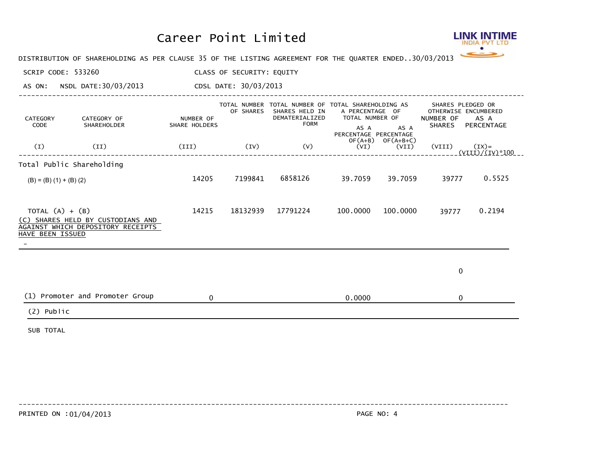

DISTRIBUTION OF SHAREHOLDING AS PER CLAUSE 35 OF THE LISTING AGREEMENT FOR THE QUARTER ENDED... 30/03/2013

SCRIP CODE: 533260 CLASS OF SECURITY: EQUITY

AS ON: NSDL DATE:30/03/2013 CDSL DATE: 30/03/2013

| CATEGORY<br>CODE          | CATEGORY OF<br>SHAREHOLDER        | NUMBER OF<br>SHARE HOLDERS | OF SHARES | TOTAL NUMBER TOTAL NUMBER OF TOTAL SHAREHOLDING AS<br>SHARES HELD IN<br>DEMATERIALIZED<br><b>FORM</b> | TOTAL NUMBER OF<br>AS A<br>PERCENTAGE PERCENTAGE | A PERCENTAGE OF<br>AS A        | SHARES PLEDGED OR<br>OTHERWISE ENCUMBERED<br>NUMBER OF<br>SHARES | AS A<br>PERCENTAGE        |
|---------------------------|-----------------------------------|----------------------------|-----------|-------------------------------------------------------------------------------------------------------|--------------------------------------------------|--------------------------------|------------------------------------------------------------------|---------------------------|
| (I)                       | (II)                              | (III)                      | (IV)      | (V)                                                                                                   | (VI)                                             | $OF(A+B)$ $OF(A+B+C)$<br>(VII) | $(YIII)$ $(IX)=$                                                 | <u>(VIII)/(IV)*100 _ </u> |
|                           | Total Public Shareholding         |                            |           |                                                                                                       |                                                  |                                |                                                                  |                           |
| $(B) = (B) (1) + (B) (2)$ |                                   | 14205                      | 7199841   | 6858126                                                                                               | 39.7059                                          | 39.7059                        | 39777                                                            | 0.5525                    |
|                           |                                   |                            |           |                                                                                                       |                                                  |                                |                                                                  |                           |
| TOTAL $(A) + (B)$         | (C) SHARES HELD BY CUSTODIANS AND | 14215                      | 18132939  | 17791224                                                                                              | 100.0000                                         | 100.0000                       | 39777                                                            | 0.2194                    |
| <b>HAVE BEEN ISSUED</b>   | AGAINST WHICH DEPOSITORY RECEIPTS |                            |           |                                                                                                       |                                                  |                                |                                                                  |                           |
|                           |                                   |                            |           |                                                                                                       |                                                  |                                |                                                                  |                           |
|                           |                                   |                            |           |                                                                                                       |                                                  |                                | $\mathbf 0$                                                      |                           |
|                           | (1) Promoter and Promoter Group   | $\mathbf{0}$               |           |                                                                                                       | 0.0000                                           |                                | $\mathbf 0$                                                      |                           |
| (2) Public                |                                   |                            |           |                                                                                                       |                                                  |                                |                                                                  |                           |
| SUB TOTAL                 |                                   |                            |           |                                                                                                       |                                                  |                                |                                                                  |                           |

----------------------------------------------------------------------------------------------------------------------------

PRINTED ON :01/04/2013 PAGE NO: 4

------------------------------------------------------------------------------------------------------------------------